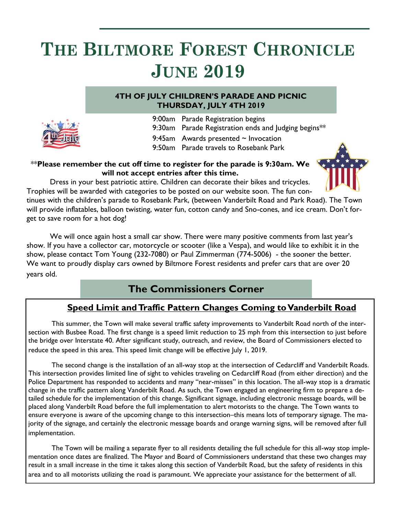# **THE BILTMORE FOREST CHRONICLE JUNE 2019**

### **4TH OF JULY CHILDREN'S PARADE AND PICNIC THURSDAY, JULY 4TH 2019**



- 9:00am Parade Registration begins
- 9:30am Parade Registration ends and Judging begins\*\*
- 9:45am Awards presented  $\sim$  Invocation
- 9:50am Parade travels to Rosebank Park

### \*\***Please remember the cut off time to register for the parade is 9:30am. We will not accept entries after this time.**



Dress in your best patriotic attire. Children can decorate their bikes and tricycles. Trophies will be awarded with categories to be posted on our website soon. The fun con-

tinues with the children's parade to Rosebank Park, (between Vanderbilt Road and Park Road). The Town will provide inflatables, balloon twisting, water fun, cotton candy and Sno-cones, and ice cream. Don't forget to save room for a hot dog!

We will once again host a small car show. There were many positive comments from last year's show. If you have a collector car, motorcycle or scooter (like a Vespa), and would like to exhibit it in the show, please contact Tom Young (232-7080) or Paul Zimmerman (774-5006) - the sooner the better. We want to proudly display cars owned by Biltmore Forest residents and prefer cars that are over 20 years old.

### **The Commissioners Corner**

### **Speed Limit and Traffic Pattern Changes Coming to Vanderbilt Road**

This summer, the Town will make several traffic safety improvements to Vanderbilt Road north of the intersection with Busbee Road. The first change is a speed limit reduction to 25 mph from this intersection to just before the bridge over Interstate 40. After significant study, outreach, and review, the Board of Commissioners elected to reduce the speed in this area. This speed limit change will be effective July 1, 2019.

The second change is the installation of an all-way stop at the intersection of Cedarcliff and Vanderbilt Roads. This intersection provides limited line of sight to vehicles traveling on Cedarcliff Road (from either direction) and the Police Department has responded to accidents and many "near-misses" in this location. The all-way stop is a dramatic change in the traffic pattern along Vanderbilt Road. As such, the Town engaged an engineering firm to prepare a detailed schedule for the implementation of this change. Significant signage, including electronic message boards, will be placed along Vanderbilt Road before the full implementation to alert motorists to the change. The Town wants to ensure everyone is aware of the upcoming change to this intersection–this means lots of temporary signage. The majority of the signage, and certainly the electronic message boards and orange warning signs, will be removed after full implementation.

The Town will be mailing a separate flyer to all residents detailing the full schedule for this all-way stop implementation once dates are finalized. The Mayor and Board of Commissioners understand that these two changes may result in a small increase in the time it takes along this section of Vanderbilt Road, but the safety of residents in this area and to all motorists utilizing the road is paramount. We appreciate your assistance for the betterment of all.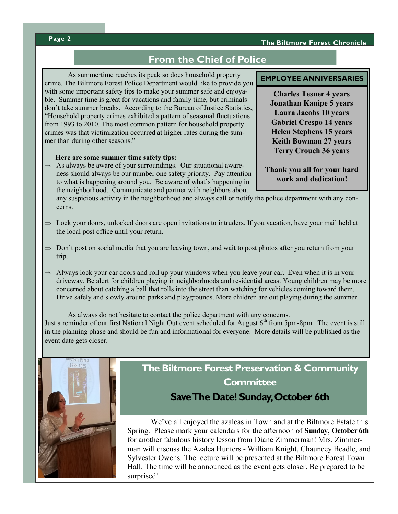#### **The Biltmore Forest Chronicle**

#### **Page 2**

### **From the Chief of Police**

As summertime reaches its peak so does household property crime. The Biltmore Forest Police Department would like to provide you with some important safety tips to make your summer safe and enjoyable. Summer time is great for vacations and family time, but criminals don't take summer breaks. According to the Bureau of Justice Statistics, "Household property crimes exhibited a pattern of seasonal fluctuations from 1993 to 2010. The most common pattern for household property crimes was that victimization occurred at higher rates during the summer than during other seasons."

#### **Here are some summer time safety tips:**

 $\Rightarrow$  As always be aware of your surroundings. Our situational awareness should always be our number one safety priority. Pay attention to what is happening around you. Be aware of what's happening in the neighborhood. Communicate and partner with neighbors about

any suspicious activity in the neighborhood and always call or notify the police department with any concerns.

- $\Rightarrow$  Lock your doors, unlocked doors are open invitations to intruders. If you vacation, have your mail held at the local post office until your return.
- $\Rightarrow$  Don't post on social media that you are leaving town, and wait to post photos after you return from your trip.
- $\Rightarrow$  Always lock your car doors and roll up your windows when you leave your car. Even when it is in your driveway. Be alert for children playing in neighborhoods and residential areas. Young children may be more concerned about catching a ball that rolls into the street than watching for vehicles coming toward them. Drive safely and slowly around parks and playgrounds. More children are out playing during the summer.

As always do not hesitate to contact the police department with any concerns. Just a reminder of our first National Night Out event scheduled for August  $6<sup>th</sup>$  from 5pm-8pm. The event is still in the planning phase and should be fun and informational for everyone. More details will be published as the event date gets closer.



## **The Biltmore Forest Preservation & Community Committee**

### **Save The Date! Sunday, October 6th**

We've all enjoyed the azaleas in Town and at the Biltmore Estate this Spring. Please mark your calendars for the afternoon of **Sunday, October 6th**  for another fabulous history lesson from Diane Zimmerman! Mrs. Zimmerman will discuss the Azalea Hunters - William Knight, Chauncey Beadle, and Sylvester Owens. The lecture will be presented at the Biltmore Forest Town Hall. The time will be announced as the event gets closer. Be prepared to be surprised!

#### **EMPLOYEE ANNIVERSARIES**

**Charles Tesner 4 years Jonathan Kanipe 5 years Laura Jacobs 10 years Gabriel Crespo 14 years Helen Stephens 15 years Keith Bowman 27 years Terry Crouch 36 years**

**Thank you all for your hard work and dedication!**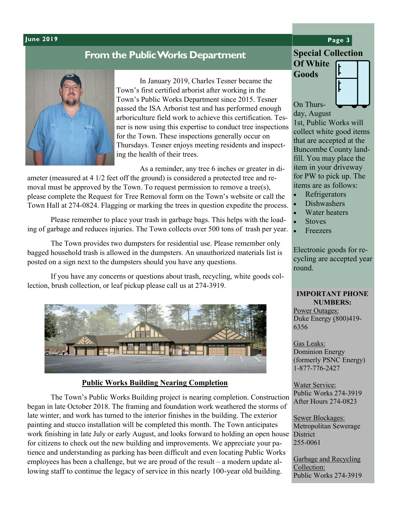#### **June 2019 Page 3**

### **From the Public Works Department**



In January 2019, Charles Tesner became the Town's first certified arborist after working in the Town's Public Works Department since 2015. Tesner passed the ISA Arborist test and has performed enough arboriculture field work to achieve this certification. Tesner is now using this expertise to conduct tree inspections for the Town. These inspections generally occur on Thursdays. Tesner enjoys meeting residents and inspecting the health of their trees.

As a reminder, any tree 6 inches or greater in di-

ameter (measured at 4 1/2 feet off the ground) is considered a protected tree and removal must be approved by the Town. To request permission to remove a tree(s), please complete the Request for Tree Removal form on the Town's website or call the Town Hall at 274-0824. Flagging or marking the trees in question expedite the process.

Please remember to place your trash in garbage bags. This helps with the loading of garbage and reduces injuries. The Town collects over 500 tons of trash per year.

The Town provides two dumpsters for residential use. Please remember only bagged household trash is allowed in the dumpsters. An unauthorized materials list is posted on a sign next to the dumpsters should you have any questions.

If you have any concerns or questions about trash, recycling, white goods collection, brush collection, or leaf pickup please call us at 274-3919.



#### **Public Works Building Nearing Completion**

The Town's Public Works Building project is nearing completion. Construction began in late October 2018. The framing and foundation work weathered the storms of late winter, and work has turned to the interior finishes in the building. The exterior painting and stucco installation will be completed this month. The Town anticipates work finishing in late July or early August, and looks forward to holding an open house District for citizens to check out the new building and improvements. We appreciate your patience and understanding as parking has been difficult and even locating Public Works employees has been a challenge, but we are proud of the result – a modern update allowing staff to continue the legacy of service in this nearly 100-year old building.

### **Special Collection Of White**

**Goods**



On Thursday, August

1st, Public Works will collect white good items that are accepted at the Buncombe County landfill. You may place the item in your driveway for PW to pick up. The items are as follows:

- Refrigerators
- Dishwashers
- Water heaters
- **Stoves**
- Freezers

Electronic goods for recycling are accepted year round.

### **IMPORTANT PHONE NUMBERS:**

Power Outages: Duke Energy (800)419- 6356

Gas Leaks: Dominion Energy (formerly PSNC Energy) 1-877-776-2427

Water Service: Public Works 274-3919 After Hours 274-0823

Sewer Blockages: Metropolitan Sewerage 255-0061

Garbage and Recycling Collection: Public Works 274-3919